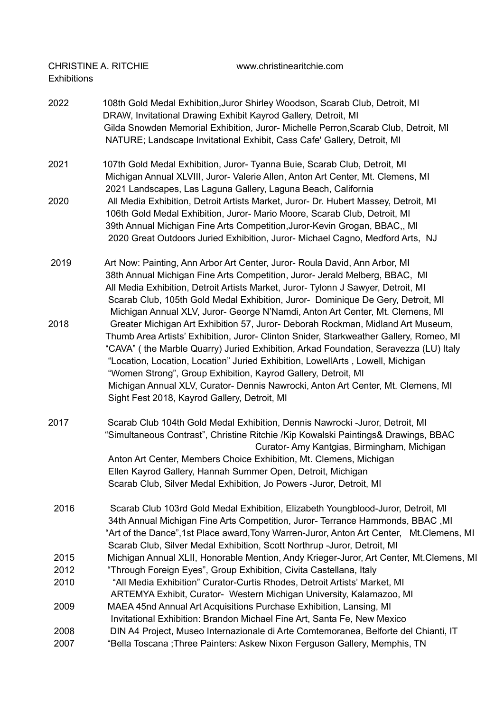CHRISTINE A. RITCHIE www.christinearitchie.com Exhibitions

| 2022 | 108th Gold Medal Exhibition, Juror Shirley Woodson, Scarab Club, Detroit, MI<br>DRAW, Invitational Drawing Exhibit Kayrod Gallery, Detroit, MI<br>Gilda Snowden Memorial Exhibition, Juror- Michelle Perron, Scarab Club, Detroit, MI                                                                                                                                                                                                                                                                    |
|------|----------------------------------------------------------------------------------------------------------------------------------------------------------------------------------------------------------------------------------------------------------------------------------------------------------------------------------------------------------------------------------------------------------------------------------------------------------------------------------------------------------|
|      | NATURE; Landscape Invitational Exhibit, Cass Cafe' Gallery, Detroit, MI                                                                                                                                                                                                                                                                                                                                                                                                                                  |
| 2021 | 107th Gold Medal Exhibition, Juror- Tyanna Buie, Scarab Club, Detroit, MI<br>Michigan Annual XLVIII, Juror- Valerie Allen, Anton Art Center, Mt. Clemens, MI                                                                                                                                                                                                                                                                                                                                             |
| 2020 | 2021 Landscapes, Las Laguna Gallery, Laguna Beach, California<br>All Media Exhibition, Detroit Artists Market, Juror- Dr. Hubert Massey, Detroit, MI<br>106th Gold Medal Exhibition, Juror- Mario Moore, Scarab Club, Detroit, MI<br>39th Annual Michigan Fine Arts Competition, Juror-Kevin Grogan, BBAC,, MI<br>2020 Great Outdoors Juried Exhibition, Juror- Michael Cagno, Medford Arts, NJ                                                                                                          |
| 2019 | Art Now: Painting, Ann Arbor Art Center, Juror- Roula David, Ann Arbor, MI<br>38th Annual Michigan Fine Arts Competition, Juror- Jerald Melberg, BBAC, MI<br>All Media Exhibition, Detroit Artists Market, Juror- Tylonn J Sawyer, Detroit, MI<br>Scarab Club, 105th Gold Medal Exhibition, Juror- Dominique De Gery, Detroit, MI<br>Michigan Annual XLV, Juror- George N'Namdi, Anton Art Center, Mt. Clemens, MI                                                                                       |
| 2018 | Greater Michigan Art Exhibition 57, Juror- Deborah Rockman, Midland Art Museum,<br>Thumb Area Artists' Exhibition, Juror- Clinton Snider, Starkweather Gallery, Romeo, MI<br>"CAVA" (the Marble Quarry) Juried Exhibition, Arkad Foundation, Seravezza (LU) Italy<br>"Location, Location, Location" Juried Exhibition, LowellArts, Lowell, Michigan<br>"Women Strong", Group Exhibition, Kayrod Gallery, Detroit, MI<br>Michigan Annual XLV, Curator- Dennis Nawrocki, Anton Art Center, Mt. Clemens, MI |
|      | Sight Fest 2018, Kayrod Gallery, Detroit, MI                                                                                                                                                                                                                                                                                                                                                                                                                                                             |
| 2017 | Scarab Club 104th Gold Medal Exhibition, Dennis Nawrocki -Juror, Detroit, MI<br>"Simultaneous Contrast", Christine Ritchie /Kip Kowalski Paintings& Drawings, BBAC<br>Curator-Amy Kantgias, Birmingham, Michigan                                                                                                                                                                                                                                                                                         |
|      | Anton Art Center, Members Choice Exhibition, Mt. Clemens, Michigan                                                                                                                                                                                                                                                                                                                                                                                                                                       |
|      | Ellen Kayrod Gallery, Hannah Summer Open, Detroit, Michigan                                                                                                                                                                                                                                                                                                                                                                                                                                              |
|      | Scarab Club, Silver Medal Exhibition, Jo Powers -Juror, Detroit, MI                                                                                                                                                                                                                                                                                                                                                                                                                                      |
| 2016 | Scarab Club 103rd Gold Medal Exhibition, Elizabeth Youngblood-Juror, Detroit, MI<br>34th Annual Michigan Fine Arts Competition, Juror- Terrance Hammonds, BBAC, MI                                                                                                                                                                                                                                                                                                                                       |
|      | "Art of the Dance", 1st Place award, Tony Warren-Juror, Anton Art Center, Mt. Clemens, MI                                                                                                                                                                                                                                                                                                                                                                                                                |
|      | Scarab Club, Silver Medal Exhibition, Scott Northrup -Juror, Detroit, MI                                                                                                                                                                                                                                                                                                                                                                                                                                 |
| 2015 | Michigan Annual XLII, Honorable Mention, Andy Krieger-Juror, Art Center, Mt.Clemens, MI                                                                                                                                                                                                                                                                                                                                                                                                                  |
| 2012 | "Through Foreign Eyes", Group Exhibition, Civita Castellana, Italy                                                                                                                                                                                                                                                                                                                                                                                                                                       |
| 2010 | "All Media Exhibition" Curator-Curtis Rhodes, Detroit Artists' Market, MI                                                                                                                                                                                                                                                                                                                                                                                                                                |
|      | ARTEMYA Exhibit, Curator- Western Michigan University, Kalamazoo, MI                                                                                                                                                                                                                                                                                                                                                                                                                                     |
| 2009 | MAEA 45nd Annual Art Acquisitions Purchase Exhibition, Lansing, MI                                                                                                                                                                                                                                                                                                                                                                                                                                       |
|      | Invitational Exhibition: Brandon Michael Fine Art, Santa Fe, New Mexico                                                                                                                                                                                                                                                                                                                                                                                                                                  |
| 2008 | DIN A4 Project, Museo Internazionale di Arte Comtemoranea, Belforte del Chianti, IT                                                                                                                                                                                                                                                                                                                                                                                                                      |
| 2007 | "Bella Toscana ; Three Painters: Askew Nixon Ferguson Gallery, Memphis, TN                                                                                                                                                                                                                                                                                                                                                                                                                               |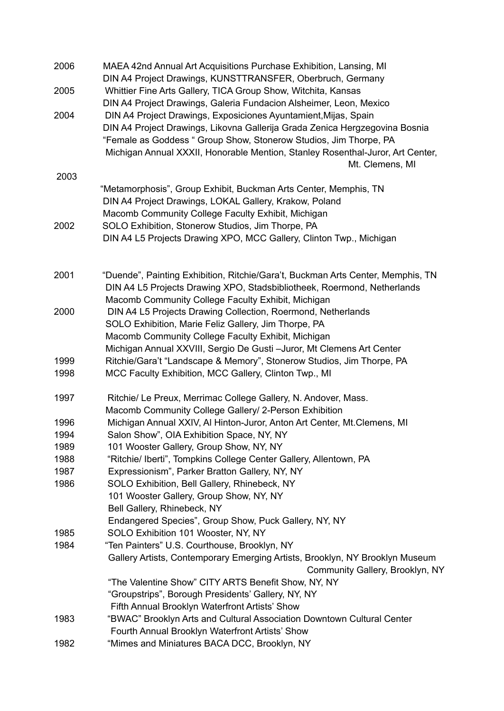| 2006 | MAEA 42nd Annual Art Acquisitions Purchase Exhibition, Lansing, MI<br>DIN A4 Project Drawings, KUNSTTRANSFER, Oberbruch, Germany |
|------|----------------------------------------------------------------------------------------------------------------------------------|
| 2005 | Whittier Fine Arts Gallery, TICA Group Show, Witchita, Kansas                                                                    |
|      | DIN A4 Project Drawings, Galeria Fundacion Alsheimer, Leon, Mexico                                                               |
| 2004 | DIN A4 Project Drawings, Exposiciones Ayuntamient, Mijas, Spain                                                                  |
|      | DIN A4 Project Drawings, Likovna Gallerija Grada Zenica Hergzegovina Bosnia                                                      |
|      | "Female as Goddess " Group Show, Stonerow Studios, Jim Thorpe, PA                                                                |
|      | Michigan Annual XXXII, Honorable Mention, Stanley Rosenthal-Juror, Art Center,                                                   |
| 2003 | Mt. Clemens, MI                                                                                                                  |
|      | "Metamorphosis", Group Exhibit, Buckman Arts Center, Memphis, TN                                                                 |
|      | DIN A4 Project Drawings, LOKAL Gallery, Krakow, Poland                                                                           |
|      | Macomb Community College Faculty Exhibit, Michigan                                                                               |
| 2002 | SOLO Exhibition, Stonerow Studios, Jim Thorpe, PA                                                                                |
|      | DIN A4 L5 Projects Drawing XPO, MCC Gallery, Clinton Twp., Michigan                                                              |
|      |                                                                                                                                  |
| 2001 | "Duende", Painting Exhibition, Ritchie/Gara't, Buckman Arts Center, Memphis, TN                                                  |
|      | DIN A4 L5 Projects Drawing XPO, Stadsbibliotheek, Roermond, Netherlands                                                          |
|      | Macomb Community College Faculty Exhibit, Michigan                                                                               |
| 2000 | DIN A4 L5 Projects Drawing Collection, Roermond, Netherlands                                                                     |
|      | SOLO Exhibition, Marie Feliz Gallery, Jim Thorpe, PA                                                                             |
|      | Macomb Community College Faculty Exhibit, Michigan                                                                               |
|      | Michigan Annual XXVIII, Sergio De Gusti-Juror, Mt Clemens Art Center                                                             |
| 1999 | Ritchie/Gara't "Landscape & Memory", Stonerow Studios, Jim Thorpe, PA                                                            |
| 1998 | MCC Faculty Exhibition, MCC Gallery, Clinton Twp., MI                                                                            |
| 1997 | Ritchie/ Le Preux, Merrimac College Gallery, N. Andover, Mass.                                                                   |
|      | Macomb Community College Gallery/ 2-Person Exhibition                                                                            |
| 1996 | Michigan Annual XXIV, AI Hinton-Juror, Anton Art Center, Mt.Clemens, MI                                                          |
| 1994 | Salon Show", OIA Exhibition Space, NY, NY                                                                                        |
| 1989 | 101 Wooster Gallery, Group Show, NY, NY                                                                                          |
| 1988 | "Ritchie/ Iberti", Tompkins College Center Gallery, Allentown, PA                                                                |
| 1987 | Expressionism", Parker Bratton Gallery, NY, NY                                                                                   |
| 1986 | SOLO Exhibition, Bell Gallery, Rhinebeck, NY                                                                                     |
|      | 101 Wooster Gallery, Group Show, NY, NY<br>Bell Gallery, Rhinebeck, NY                                                           |
|      | Endangered Species", Group Show, Puck Gallery, NY, NY                                                                            |
| 1985 | SOLO Exhibition 101 Wooster, NY, NY                                                                                              |
| 1984 | "Ten Painters" U.S. Courthouse, Brooklyn, NY                                                                                     |
|      | Gallery Artists, Contemporary Emerging Artists, Brooklyn, NY Brooklyn Museum                                                     |
|      | Community Gallery, Brooklyn, NY                                                                                                  |
|      | "The Valentine Show" CITY ARTS Benefit Show, NY, NY                                                                              |
|      | "Groupstrips", Borough Presidents' Gallery, NY, NY                                                                               |
|      | Fifth Annual Brooklyn Waterfront Artists' Show                                                                                   |
| 1983 | "BWAC" Brooklyn Arts and Cultural Association Downtown Cultural Center                                                           |
|      | Fourth Annual Brooklyn Waterfront Artists' Show                                                                                  |
| 1982 | "Mimes and Miniatures BACA DCC, Brooklyn, NY                                                                                     |
|      |                                                                                                                                  |